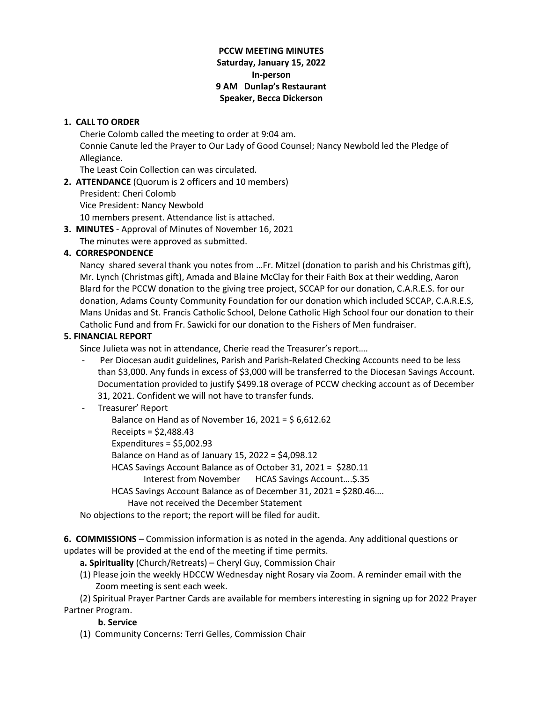## **PCCW MEETING MINUTES Saturday, January 15, 2022 In-person 9 AM Dunlap's Restaurant Speaker, Becca Dickerson**

## **1. CALL TO ORDER**

Cherie Colomb called the meeting to order at 9:04 am.

Connie Canute led the Prayer to Our Lady of Good Counsel; Nancy Newbold led the Pledge of Allegiance.

The Least Coin Collection can was circulated.

**2. ATTENDANCE** (Quorum is 2 officers and 10 members)

President: Cheri Colomb

Vice President: Nancy Newbold

10 members present. Attendance list is attached.

**3. MINUTES** - Approval of Minutes of November 16, 2021

The minutes were approved as submitted.

# **4. CORRESPONDENCE**

Nancy shared several thank you notes from …Fr. Mitzel (donation to parish and his Christmas gift), Mr. Lynch (Christmas gift), Amada and Blaine McClay for their Faith Box at their wedding, Aaron Blard for the PCCW donation to the giving tree project, SCCAP for our donation, C.A.R.E.S. for our donation, Adams County Community Foundation for our donation which included SCCAP, C.A.R.E.S, Mans Unidas and St. Francis Catholic School, Delone Catholic High School four our donation to their Catholic Fund and from Fr. Sawicki for our donation to the Fishers of Men fundraiser.

## **5. FINANCIAL REPORT**

Since Julieta was not in attendance, Cherie read the Treasurer's report….

Per Diocesan audit guidelines, Parish and Parish-Related Checking Accounts need to be less than \$3,000. Any funds in excess of \$3,000 will be transferred to the Diocesan Savings Account. Documentation provided to justify \$499.18 overage of PCCW checking account as of December 31, 2021. Confident we will not have to transfer funds.

# - Treasurer' Report

Balance on Hand as of November 16, 2021 =  $$6,612.62$ 

- Receipts = \$2,488.43
- Expenditures = \$5,002.93

Balance on Hand as of January 15, 2022 = \$4,098.12

HCAS Savings Account Balance as of October 31, 2021 = \$280.11

Interest from November HCAS Savings Account….\$.35

HCAS Savings Account Balance as of December 31, 2021 = \$280.46….

Have not received the December Statement

No objections to the report; the report will be filed for audit.

**6. COMMISSIONS** – Commission information is as noted in the agenda. Any additional questions or updates will be provided at the end of the meeting if time permits.

**a. Spirituality** (Church/Retreats) – Cheryl Guy, Commission Chair

(1) Please join the weekly HDCCW Wednesday night Rosary via Zoom. A reminder email with the Zoom meeting is sent each week.

(2) Spiritual Prayer Partner Cards are available for members interesting in signing up for 2022 Prayer Partner Program.

# **b. Service**

(1) Community Concerns: Terri Gelles, Commission Chair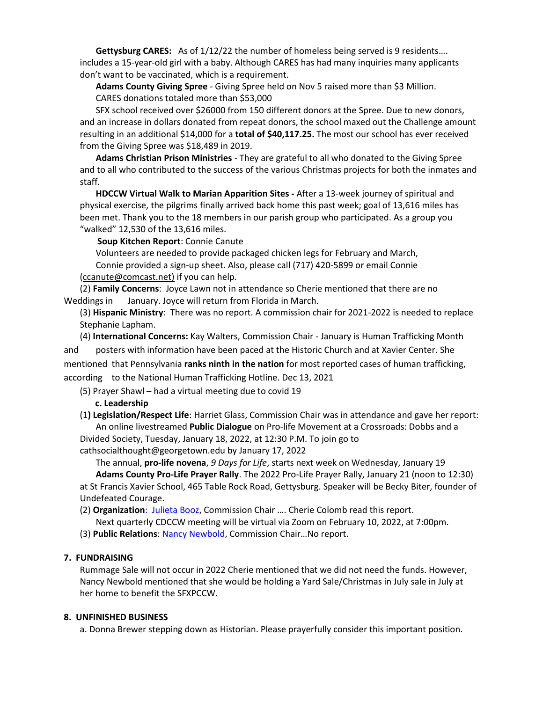**Gettysburg CARES:** As of 1/12/22 the number of homeless being served is 9 residents…. includes a 15-year-old girl with a baby. Although CARES has had many inquiries many applicants don't want to be vaccinated, which is a requirement.

**Adams County Giving Spree** - Giving Spree held on Nov 5 raised more than \$3 Million. CARES donations totaled more than \$53,000

SFX school received over \$26000 from 150 different donors at the Spree. Due to new donors, and an increase in dollars donated from repeat donors, the school maxed out the Challenge amount resulting in an additional \$14,000 for a **total of \$40,117.25.** The most our school has ever received from the Giving Spree was \$18,489 in 2019.

**Adams Christian Prison Ministries** - They are grateful to all who donated to the Giving Spree and to all who contributed to the success of the various Christmas projects for both the inmates and staff.

**HDCCW Virtual Walk to Marian Apparition Sites -** After a 13-week journey of spiritual and physical exercise, the pilgrims finally arrived back home this past week; goal of 13,616 miles has been met. Thank you to the 18 members in our parish group who participated. As a group you "walked" 12,530 of the 13,616 miles.

**Soup Kitchen Report**: Connie Canute

 Volunteers are needed to provide packaged chicken legs for February and March, Connie provided a sign-up sheet. Also, please call (717) 420-5899 or email Connie [\(ccanute@comcast.net\)](mailto:ccanute@comcast.net) if you can help.

(2) **Family Concerns**: Joyce Lawn not in attendance so Cherie mentioned that there are no Weddings in January. Joyce will return from Florida in March.

(3) **Hispanic Ministry**: There was no report. A commission chair for 2021-2022 is needed to replace Stephanie Lapham.

(4) **International Concerns:** Kay Walters, Commission Chair - January is Human Trafficking Month and posters with information have been paced at the Historic Church and at Xavier Center. She mentioned that Pennsylvania **ranks ninth in the nation** for most reported cases of human trafficking, according to the National Human Trafficking Hotline. Dec 13, 2021

(5) Prayer Shawl – had a virtual meeting due to covid 19

 **c. Leadership**

(1**) Legislation/Respect Life**: Harriet Glass, Commission Chair was in attendance and gave her report: An online livestreamed **Public Dialogue** on Pro-life Movement at a Crossroads: Dobbs and a Divided Society, Tuesday, January 18, 2022, at 12:30 P.M. To join go to

cathsocialthought@georgetown.edu by January 17, 2022

The annual, **pro-life novena**, *9 Days for Life*, starts next week on Wednesday, January 19 **Adams County Pro-Life Prayer Rally**. The 2022 Pro-Life Prayer Rally, January 21 (noon to 12:30) at St Francis Xavier School, 465 Table Rock Road, Gettysburg. Speaker will be Becky Biter, founder of Undefeated Courage.

(2) **Organization**: Julieta Booz, Commission Chair …. Cherie Colomb read this report.

Next quarterly CDCCW meeting will be virtual via Zoom on February 10, 2022, at 7:00pm.

(3) **Public Relations**: Nancy Newbold, Commission Chair…No report.

### **7. FUNDRAISING**

Rummage Sale will not occur in 2022 Cherie mentioned that we did not need the funds. However, Nancy Newbold mentioned that she would be holding a Yard Sale/Christmas in July sale in July at her home to benefit the SFXPCCW.

### **8. UNFINISHED BUSINESS**

a. Donna Brewer stepping down as Historian. Please prayerfully consider this important position.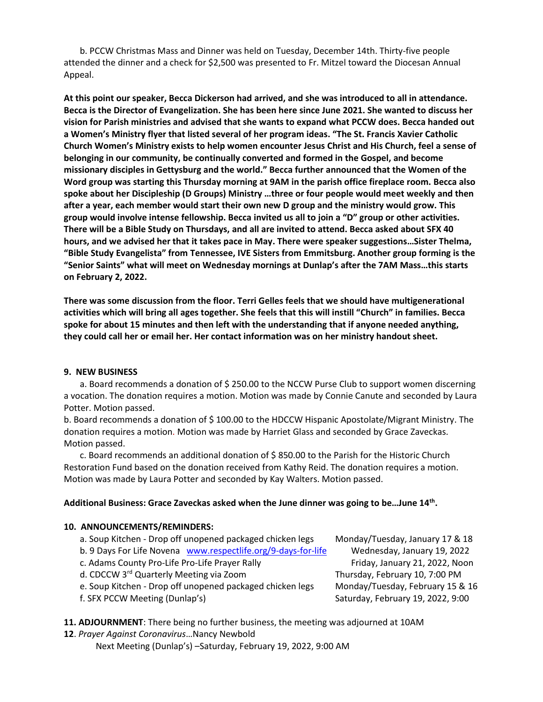b. PCCW Christmas Mass and Dinner was held on Tuesday, December 14th. Thirty-five people attended the dinner and a check for \$2,500 was presented to Fr. Mitzel toward the Diocesan Annual Appeal.

**At this point our speaker, Becca Dickerson had arrived, and she was introduced to all in attendance. Becca is the Director of Evangelization. She has been here since June 2021. She wanted to discuss her vision for Parish ministries and advised that she wants to expand what PCCW does. Becca handed out a Women's Ministry flyer that listed several of her program ideas. "The St. Francis Xavier Catholic Church Women's Ministry exists to help women encounter Jesus Christ and His Church, feel a sense of belonging in our community, be continually converted and formed in the Gospel, and become missionary disciples in Gettysburg and the world." Becca further announced that the Women of the Word group was starting this Thursday morning at 9AM in the parish office fireplace room. Becca also spoke about her Discipleship (D Groups) Ministry …three or four people would meet weekly and then after a year, each member would start their own new D group and the ministry would grow. This group would involve intense fellowship. Becca invited us all to join a "D" group or other activities. There will be a Bible Study on Thursdays, and all are invited to attend. Becca asked about SFX 40 hours, and we advised her that it takes pace in May. There were speaker suggestions…Sister Thelma, "Bible Study Evangelista" from Tennessee, IVE Sisters from Emmitsburg. Another group forming is the "Senior Saints" what will meet on Wednesday mornings at Dunlap's after the 7AM Mass…this starts on February 2, 2022.**

**There was some discussion from the floor. Terri Gelles feels that we should have multigenerational activities which will bring all ages together. She feels that this will instill "Church" in families. Becca spoke for about 15 minutes and then left with the understanding that if anyone needed anything, they could call her or email her. Her contact information was on her ministry handout sheet.**

#### **9. NEW BUSINESS**

a. Board recommends a donation of \$250.00 to the NCCW Purse Club to support women discerning a vocation. The donation requires a motion. Motion was made by Connie Canute and seconded by Laura Potter. Motion passed.

b. Board recommends a donation of \$ 100.00 to the HDCCW Hispanic Apostolate/Migrant Ministry. The donation requires a motion. Motion was made by Harriet Glass and seconded by Grace Zaveckas. Motion passed.

c. Board recommends an additional donation of \$ 850.00 to the Parish for the Historic Church Restoration Fund based on the donation received from Kathy Reid. The donation requires a motion. Motion was made by Laura Potter and seconded by Kay Walters. Motion passed.

#### **Additional Business: Grace Zaveckas asked when the June dinner was going to be…June 14th .**

#### **10. ANNOUNCEMENTS/REMINDERS:**

- a. Soup Kitchen Drop off unopened packaged chicken legs Monday/Tuesday, January 17 & 18
- b. 9 Days For Life Novena [www.respectlife.org/9-days-for-life](http://www.respectlife.org/9-days-for-life) Wednesday, January 19, 2022
- c. Adams County Pro-Life Pro-Life Prayer Rally Friday, January 21, 2022, Noon
- d. CDCCW 3<sup>rd</sup> Quarterly Meeting via Zoom Thursday, February 10, 7:00 PM
- e. Soup Kitchen Drop off unopened packaged chicken legs Monday/Tuesday, February 15 & 16
- 

f. SFX PCCW Meeting (Dunlap's) Saturday, February 19, 2022, 9:00

**11. ADJOURNMENT**: There being no further business, the meeting was adjourned at 10AM

**12**. *Prayer Against Coronavirus*…Nancy Newbold Next Meeting (Dunlap's) –Saturday, February 19, 2022, 9:00 AM